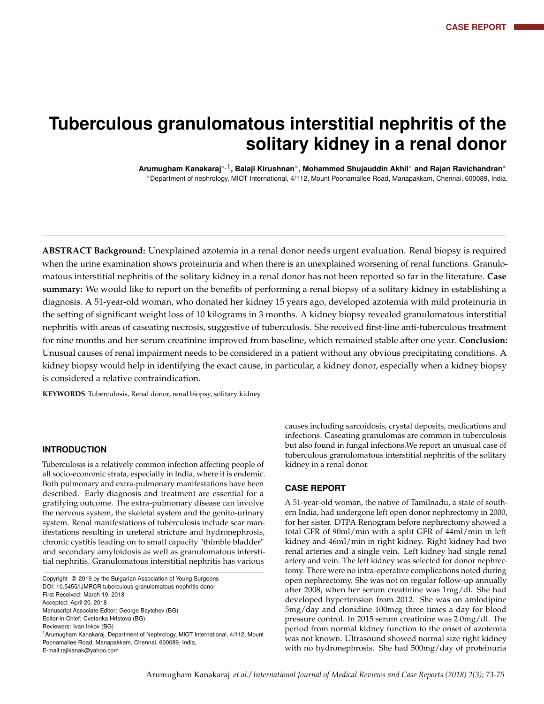# **Tuberculous granulomatous interstitial nephritis of the solitary kidney in a renal donor**

**Arumugham Kanakaraj**∗<sup>, 1</sup>, Balaji Kirushnan\*, Mohammed Shujauddin Akhil\* and Rajan Ravichandran\* <sup>∗</sup>Department of nephrology, MIOT International, 4/112, Mount Poonamallee Road, Manapakkam, Chennai, 600089, India.

**ABSTRACT Background:** Unexplained azotemia in a renal donor needs urgent evaluation. Renal biopsy is required when the urine examination shows proteinuria and when there is an unexplained worsening of renal functions. Granulomatous interstitial nephritis of the solitary kidney in a renal donor has not been reported so far in the literature. **Case summary:** We would like to report on the benefits of performing a renal biopsy of a solitary kidney in establishing a diagnosis. A 51-year-old woman, who donated her kidney 15 years ago, developed azotemia with mild proteinuria in the setting of significant weight loss of 10 kilograms in 3 months. A kidney biopsy revealed granulomatous interstitial nephritis with areas of caseating necrosis, suggestive of tuberculosis. She received first-line anti-tuberculous treatment for nine months and her serum creatinine improved from baseline, which remained stable after one year. **Conclusion:** Unusual causes of renal impairment needs to be considered in a patient without any obvious precipitating conditions. A kidney biopsy would help in identifying the exact cause, in particular, a kidney donor, especially when a kidney biopsy is considered a relative contraindication.

**KEYWORDS** Tuberculosis, Renal donor, renal biopsy, solitary kidney

#### **INTRODUCTION**

Tuberculosis is a relatively common infection affecting people of all socio-economic strata, especially in India, where it is endemic. Both pulmonary and extra-pulmonary manifestations have been described. Early diagnosis and treatment are essential for a gratifying outcome. The extra-pulmonary disease can involve the nervous system, the skeletal system and the genito-urinary system. Renal manifestations of tuberculosis include scar manifestations resulting in ureteral stricture and hydronephrosis, chronic cystitis leading on to small capacity "thimble bladder" and secondary amyloidosis as well as granulomatous interstitial nephritis. Granulomatous interstitial nephritis has various

causes including sarcoidosis, crystal deposits, medications and infections. Caseating granulomas are common in tuberculosis but also found in fungal infections.We report an unusual case of tuberculous granulomatous interstitial nephritis of the solitary kidney in a renal donor.

#### **CASE REPORT**

A 51-year-old woman, the native of Tamilnadu, a state of southern India, had undergone left open donor nephrectomy in 2000, for her sister. DTPA Renogram before nephrectomy showed a total GFR of 90ml/min with a split GFR of 44ml/min in left kidney and 46ml/min in right kidney. Right kidney had two renal arteries and a single vein. Left kidney had single renal artery and vein. The left kidney was selected for donor nephrectomy. There were no intra-operative complications noted during open nephrectomy. She was not on regular follow-up annually after 2008, when her serum creatinine was 1mg/dl. She had developed hypertension from 2012. She was on amlodipine 5mg/day and clonidine 100mcg three times a day for blood pressure control. In 2015 serum creatinine was 2.0mg/dl. The period from normal kidney function to the onset of azotemia was not known. Ultrasound showed normal size right kidney with no hydronephrosis. She had 500mg/day of proteinuria

Copyright © 2019 by the Bulgarian Association of Young Surgeons DOI: 10.5455/IJMRCR.tuberculous-granulomatous-nephritis-donor First Received: March 19, 2018 Accepted: April 20, 2018 Manuscript Associate Editor: George Baytchev (BG) Editor-in Chief: Cvetanka Hristova (BG) Reviewers: Ivan Inkov (BG) <sup>1</sup> Arumugham Kanakaraj, Department of Nephrology, MIOT International, 4/112, Mount Poonamallee Road, Manapakkam, Chennai, 600089, India, E-mail:rajikanak@yahoo.com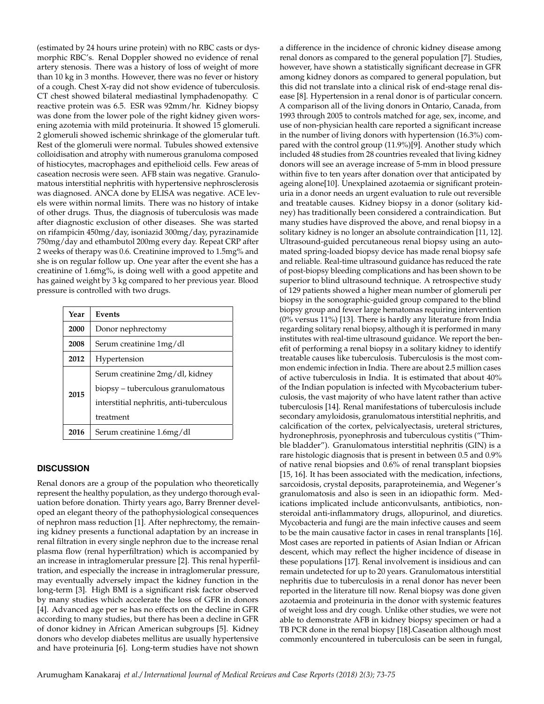(estimated by 24 hours urine protein) with no RBC casts or dysmorphic RBC's. Renal Doppler showed no evidence of renal artery stenosis. There was a history of loss of weight of more than 10 kg in 3 months. However, there was no fever or history of a cough. Chest X-ray did not show evidence of tuberculosis. CT chest showed bilateral mediastinal lymphadenopathy. C reactive protein was 6.5. ESR was 92mm/hr. Kidney biopsy was done from the lower pole of the right kidney given worsening azotemia with mild proteinuria. It showed 15 glomeruli. 2 glomeruli showed ischemic shrinkage of the glomerular tuft. Rest of the glomeruli were normal. Tubules showed extensive colloidisation and atrophy with numerous granuloma composed of histiocytes, macrophages and epithelioid cells. Few areas of caseation necrosis were seen. AFB stain was negative. Granulomatous interstitial nephritis with hypertensive nephrosclerosis was diagnosed. ANCA done by ELISA was negative. ACE levels were within normal limits. There was no history of intake of other drugs. Thus, the diagnosis of tuberculosis was made after diagnostic exclusion of other diseases. She was started on rifampicin 450mg/day, isoniazid 300mg/day, pyrazinamide 750mg/day and ethambutol 200mg every day. Repeat CRP after 2 weeks of therapy was 0.6. Creatinine improved to 1.5mg% and she is on regular follow up. One year after the event she has a creatinine of 1.6mg%, is doing well with a good appetite and has gained weight by 3 kg compared to her previous year. Blood pressure is controlled with two drugs.

| Year | Events                                   |
|------|------------------------------------------|
| 2000 | Donor nephrectomy                        |
| 2008 | Serum creatinine 1mg/dl                  |
| 2012 | Hypertension                             |
| 2015 | Serum creatinine 2mg/dl, kidney          |
|      | biopsy - tuberculous granulomatous       |
|      | interstitial nephritis, anti-tuberculous |
|      | treatment                                |
| 2016 | Serum creatinine 1.6mg/dl                |

# **DISCUSSION**

Renal donors are a group of the population who theoretically represent the healthy population, as they undergo thorough evaluation before donation. Thirty years ago, Barry Brenner developed an elegant theory of the pathophysiological consequences of nephron mass reduction [1]. After nephrectomy, the remaining kidney presents a functional adaptation by an increase in renal filtration in every single nephron due to the increase renal plasma flow (renal hyperfiltration) which is accompanied by an increase in intraglomerular pressure [2]. This renal hyperfiltration, and especially the increase in intraglomerular pressure, may eventually adversely impact the kidney function in the long-term [3]. High BMI is a significant risk factor observed by many studies which accelerate the loss of GFR in donors [4]. Advanced age per se has no effects on the decline in GFR according to many studies, but there has been a decline in GFR of donor kidney in African American subgroups [5]. Kidney donors who develop diabetes mellitus are usually hypertensive and have proteinuria [6]. Long-term studies have not shown

a difference in the incidence of chronic kidney disease among renal donors as compared to the general population [7]. Studies, however, have shown a statistically significant decrease in GFR among kidney donors as compared to general population, but this did not translate into a clinical risk of end-stage renal disease [8]. Hypertension in a renal donor is of particular concern. A comparison all of the living donors in Ontario, Canada, from 1993 through 2005 to controls matched for age, sex, income, and use of non-physician health care reported a significant increase in the number of living donors with hypertension (16.3%) compared with the control group (11.9%)[9]. Another study which included 48 studies from 28 countries revealed that living kidney donors will see an average increase of 5-mm in blood pressure within five to ten years after donation over that anticipated by ageing alone[10]. Unexplained azotaemia or significant proteinuria in a donor needs an urgent evaluation to rule out reversible and treatable causes. Kidney biopsy in a donor (solitary kidney) has traditionally been considered a contraindication. But many studies have disproved the above, and renal biopsy in a solitary kidney is no longer an absolute contraindication [11, 12]. Ultrasound-guided percutaneous renal biopsy using an automated spring-loaded biopsy device has made renal biopsy safe and reliable. Real-time ultrasound guidance has reduced the rate of post-biopsy bleeding complications and has been shown to be superior to blind ultrasound technique. A retrospective study of 129 patients showed a higher mean number of glomeruli per biopsy in the sonographic-guided group compared to the blind biopsy group and fewer large hematomas requiring intervention (0% versus 11%) [13]. There is hardly any literature from India regarding solitary renal biopsy, although it is performed in many institutes with real-time ultrasound guidance. We report the benefit of performing a renal biopsy in a solitary kidney to identify treatable causes like tuberculosis. Tuberculosis is the most common endemic infection in India. There are about 2.5 million cases of active tuberculosis in India. It is estimated that about 40% of the Indian population is infected with Mycobacterium tuberculosis, the vast majority of who have latent rather than active tuberculosis [14]. Renal manifestations of tuberculosis include secondary amyloidosis, granulomatous interstitial nephritis, and calcification of the cortex, pelvicalyectasis, ureteral strictures, hydronephrosis, pyonephrosis and tuberculous cystitis ("Thimble bladder"). Granulomatous interstitial nephritis (GIN) is a rare histologic diagnosis that is present in between 0.5 and 0.9% of native renal biopsies and 0.6% of renal transplant biopsies [15, 16]. It has been associated with the medication, infections, sarcoidosis, crystal deposits, paraproteinemia, and Wegener's granulomatosis and also is seen in an idiopathic form. Medications implicated include anticonvulsants, antibiotics, nonsteroidal anti-inflammatory drugs, allopurinol, and diuretics. Mycobacteria and fungi are the main infective causes and seem to be the main causative factor in cases in renal transplants [16]. Most cases are reported in patients of Asian Indian or African descent, which may reflect the higher incidence of disease in these populations [17]. Renal involvement is insidious and can remain undetected for up to 20 years. Granulomatous interstitial nephritis due to tuberculosis in a renal donor has never been reported in the literature till now. Renal biopsy was done given azotaemia and proteinuria in the donor with systemic features of weight loss and dry cough. Unlike other studies, we were not able to demonstrate AFB in kidney biopsy specimen or had a TB PCR done in the renal biopsy [18].Caseation although most commonly encountered in tuberculosis can be seen in fungal,